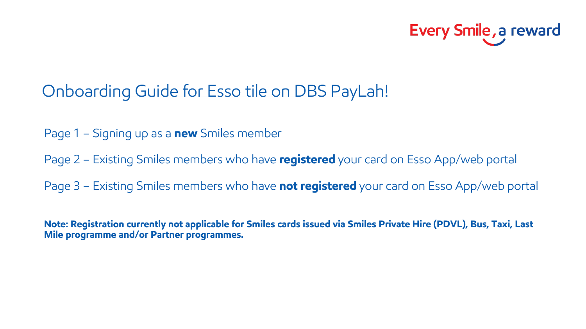

### Onboarding Guide for Esso tile on DBS PayLah!

- Page 1 Signing up as a **new** Smiles member
- Page 2 Existing Smiles members who have **registered** your card on Esso App/web portal
- Page 3 Existing Smiles members who have **not registered** your card on Esso App/web portal

**Note: Registration currently not applicable for Smiles cards issued via Smiles Private Hire (PDVL), Bus, Taxi, Last Mile programme and/or Partner programmes.**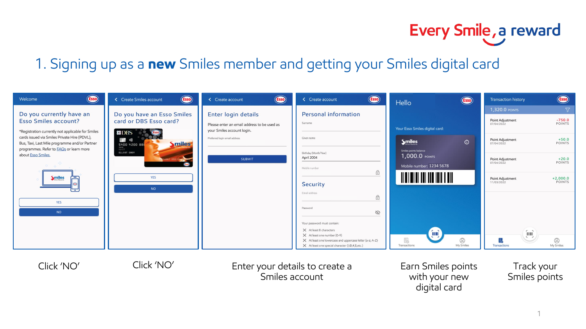# Every Smile, a reward

#### 1. Signing up as a **new** Smiles member and getting your Smiles digital card

| <b>Esso</b><br>Welcome                                                                                                                                                                                                                                                                | <b>Esso</b><br>< Create Smiles account                                                                                                                                                                            | <b>Esso</b><br>< Create account                                                                                                                    | <b>Esso</b><br>< Create account                                                                                                                                 | <b>Esso</b><br>Hello                                                           | <b>Esso</b><br>Transaction history                                                                        |
|---------------------------------------------------------------------------------------------------------------------------------------------------------------------------------------------------------------------------------------------------------------------------------------|-------------------------------------------------------------------------------------------------------------------------------------------------------------------------------------------------------------------|----------------------------------------------------------------------------------------------------------------------------------------------------|-----------------------------------------------------------------------------------------------------------------------------------------------------------------|--------------------------------------------------------------------------------|-----------------------------------------------------------------------------------------------------------|
| Do you currently have an<br><b>Esso Smiles account?</b><br>*Registration currently not applicable for Smiles<br>cards issued via Smiles Private Hire (PDVL),<br>Bus, Taxi, Last Mile programme and/or Partner<br>programmes. Refer to <b>FAQs</b> or learn more<br>about Esso Smiles. | Do you have an Esso Smiles<br>card or DBS Esso card?<br>图DBS<br><b>THE LIN</b><br>$\left(\begin{array}{cc} 0 & 0 \\ 0 & 0 \end{array}\right)$<br>miles<br>$5400$ 4200 888<br>ELLIOT CHOY<br>24567 8901234<br>Giso | Enter login details<br>Please enter an email address to be used as<br>your Smiles account login.<br>Preferred login email address<br><b>SUBMIT</b> | Personal information<br>Surname                                                                                                                                 | Your Esso Smiles digital card:                                                 | $\nabla$<br>1,320.0 POINTS<br>$-750.0$<br>Point Adjustment<br>POINTS<br>07/04/2022                        |
|                                                                                                                                                                                                                                                                                       |                                                                                                                                                                                                                   |                                                                                                                                                    | Given name<br>Birthday (Month/Year)                                                                                                                             | $\odot$<br><b><i><u>Smiles</u></i></b><br>Smiles points balance                | $+50.0$<br>Point Adjustment<br>POINTS<br>07/04/2022                                                       |
|                                                                                                                                                                                                                                                                                       |                                                                                                                                                                                                                   |                                                                                                                                                    | April 2004<br>Mobile number<br>$\bigcirc$                                                                                                                       | 1,000.0 POINTS<br>Mobile number: 1234 5678                                     | $+20.0$<br>Point Adjustment<br>POINTS<br>07/04/2022                                                       |
| <b>Smiles</b><br>Æ<br>$\overline{\phantom{a}}$                                                                                                                                                                                                                                        | <b>YES</b><br><b>NO</b>                                                                                                                                                                                           |                                                                                                                                                    | Security<br>Email address<br>$\oplus$                                                                                                                           |                                                                                | Point Adjustment<br>+2,000.0<br>POINTS<br>11/03/2022                                                      |
| <b>YES</b><br><b>NO</b>                                                                                                                                                                                                                                                               |                                                                                                                                                                                                                   |                                                                                                                                                    | Password<br>Ø                                                                                                                                                   |                                                                                |                                                                                                           |
|                                                                                                                                                                                                                                                                                       |                                                                                                                                                                                                                   |                                                                                                                                                    | Your password must contain:<br>$\times$ At least 8 characters<br>$\times$ At least one number (0-9)<br>X At least one lowercase and uppercase letter (a-z; A-Z) | $\left[\begin{matrix} 0 \\ 0 \\ 0 \end{matrix}\right]$<br>E3<br>$\circledcirc$ | $\left[ \begin{smallmatrix} 0 & 0 \\ 0 & 0 \\ 0 & 0 \\ 0 & 0 \end{smallmatrix} \right]$<br>$\circledcirc$ |
|                                                                                                                                                                                                                                                                                       |                                                                                                                                                                                                                   |                                                                                                                                                    | $\times$ At least one special character (I,@,#,\$,etc.)                                                                                                         | My Smiles<br>Transactions                                                      | My Smiles<br>Transactions                                                                                 |



Click 'NO' Enter your details to create a Click 'NO' Earn Smiles points Smiles account

with your new digital card

Track your Smiles points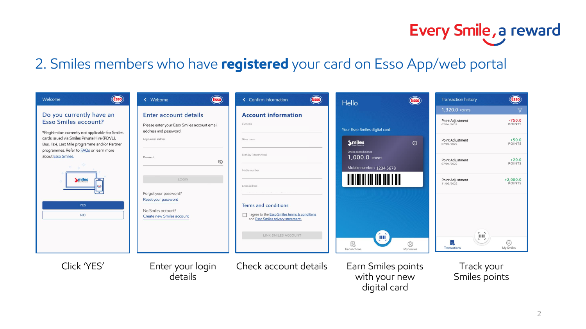# Every Smile, a reward

#### 2. Smiles members who have **registered** your card on Esso App/web portal

| <b>Esso</b><br>Welcome                                                                        | (Esso)<br>« Welcome                                                  | <b>Esso</b><br>< Confirm information                                                | <b>Esso</b><br>Hello                                | <b>Esso</b><br><b>Transaction history</b>                  |
|-----------------------------------------------------------------------------------------------|----------------------------------------------------------------------|-------------------------------------------------------------------------------------|-----------------------------------------------------|------------------------------------------------------------|
| Do you currently have an                                                                      | Enter account details                                                | <b>Account information</b>                                                          |                                                     | $\nabla$<br>1,320.0 POINTS                                 |
| <b>Esso Smiles account?</b><br>*Registration currently not applicable for Smiles              | Please enter your Esso Smiles account email<br>address and password. | Surname                                                                             | Your Esso Smiles digital card:                      | $-750.0$<br>Point Adjustment<br>POINTS<br>07/04/2022       |
| cards issued via Smiles Private Hire (PDVL),<br>Bus, Taxi, Last Mile programme and/or Partner | Login email address                                                  | Given name                                                                          | <b>Smiles</b><br>$\odot$                            | $+50.0$<br>Point Adjustment<br>POINTS<br>07/04/2022        |
| programmes. Refer to <b>FAQs</b> or learn more<br>about Esso Smiles.                          | Password<br>Ø                                                        | Birthday (Month/Year)                                                               | Smiles points balance<br>1,000.0 POINTS             | $+20.0$<br>Point Adjustment<br><b>POINTS</b><br>07/04/2022 |
|                                                                                               |                                                                      | Mobile number                                                                       | Mobile number: 1234 5678                            |                                                            |
| <b>Smiles</b>                                                                                 | LOGIN<br>Forgot your password?                                       | Email address                                                                       | <u> III III III III III III III</u>                 | $+2,000.0$<br>Point Adjustment<br>POINTS<br>11/03/2022     |
| <b>YES</b>                                                                                    | Reset your password                                                  | Terms and conditions                                                                |                                                     |                                                            |
| <b>NO</b>                                                                                     | No Smiles account?<br>Create new Smiles account                      | I agree to the Esso Smiles terms & conditions<br>and Esso Smiles privacy statement. |                                                     |                                                            |
|                                                                                               |                                                                      | LINK SMILES ACCOUNT                                                                 | <b>Final</b>                                        | $\left[\begin{matrix} 1 & 0 \\ 0 & 1 \end{matrix}\right]$  |
|                                                                                               |                                                                      |                                                                                     | E.<br>$\circledcirc$<br>My Smiles<br>Transactions   | $\circledcirc$<br>My Smiles<br>Transactions                |
| Click 'YES'                                                                                   | Enter your login<br>details                                          | Check account details                                                               | Earn Smiles points<br>with your new<br>digital card | Track your<br>Smiles points                                |